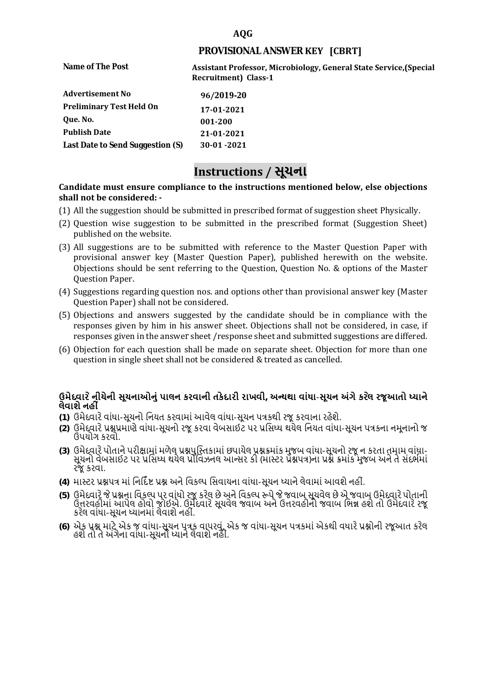### **AQG**

### **PROVISIONAL ANSWER KEY [CBRT]**

**Name of The Post Assistant Professor, Microbiology, General State Service,(Special Recruitment) Class-1** 

| <b>Advertisement No</b>          | 96/2019-20 |
|----------------------------------|------------|
| <b>Preliminary Test Held On</b>  | 17-01-2021 |
| Oue. No.                         | 001-200    |
| <b>Publish Date</b>              | 21-01-2021 |
| Last Date to Send Suggestion (S) | 30-01-2021 |

# **Instructions / સૂચના**

#### **shall not be considered: - Candidate must ensure compliance to the instructions mentioned below, else objections**

- (1) All the suggestion should be submitted in prescribed format of suggestion sheet Physically.
- (2) Question wise suggestion to be submitted in the prescribed format (Suggestion Sheet) published on the website.
- (3) All suggestions are to be submitted with reference to the Master Question Paper with provisional answer key (Master Question Paper), published herewith on the website. Objections should be sent referring to the Question, Question No. & options of the Master Question Paper.
- (4) Suggestions regarding question nos. and options other than provisional answer key (Master Question Paper) shall not be considered.
- (5) Objections and answers suggested by the candidate should be in compliance with the responses given by him in his answer sheet. Objections shall not be considered, in case, if responses given in the answer sheet /response sheet and submitted suggestions are differed.
- (6) Objection for each question shall be made on separate sheet. Objection for more than one question in single sheet shall not be considered & treated as cancelled.

## **ઉમેદવાર ેનીચેની સૂચનાઓનું પાલન કરવાની તકેદારી રાખવી, અլયથા વાંધા-સૂચન અંગેકર ેલ રજૂઆતો իયાને લેવાશેનહી ં**

- **(1)** ઉમેદવારેવાંધા**-**સૂચનો િનયત કરવામાં આવેલ વાંધા-સૂચન પԋકથી રજૂ કરવાના રહેશે**.**
- **(2)** ઉમેદવારેԐՇԐમાણે વાંધા**-**સૂચનો રજૂકરવા વેબસાઈટ પર Ԑિસիધ થયેલ િનયત વાંધા-સૂચન પԋકના નમૂનાનો જ ઉપયોગ કરવો**.**
- **(3)** ઉમેદવારેપોતાનેપરીԟામાંમળેલ ԐՇપુિչતકામાંછપાયેલ ԐՇԃમાંક મુજબ વાંધા**-**સૂચનો રજૂન કરતા તમામ વાંધા**-** સૂચનો વેબસાઈટ પર પ્રસિધ્ધ થયેલ પ્રોવિઝનલ આન્સર કી (માસ્ટર પ્રૅશ્નપત્ર)ના પ્રશ્ને ક્રમાંક મુજબ અને તે સંદર્ભમાં રજૂકરવા**.**
- **(4)** માչટર ԐՇપԋ માંિનિદӪ Ջ ԐՇ અનેિવકճપ િસવાયના વાંધા**-**સૂચન իયાનેલેવામાંઆવશેનહીં**.**
- (5) ઉમેદવારે જે પ્રશ્નના વિકલ્પ પર વાંધો રજૂ કરેલ છે અને વિકલ્પ ર<del>ુ</del>પે જે જવાબ સૂચવેલ છે એ જવાબ ઉમેદવારે પોતાની ઉԱરવહીમાંઆપેલ હોવો જોઈએ**.** ઉમેદવારેસૂચવેલ જવાબ અનેઉԱરવહીનો જવાબ િભՂ હશેતો ઉમેદવારેરજૂ કરેલ વાંધા**-**સૂચન իયાનમાંલેવાશેનહીં**.**
- **(6)** એક ԐՇ માટેએક જ વાંધા**-**સૂચન પԋક વાપરવું**.** એક જ વાંધા**-**સૂચન પԋકમાંએકથી વધારેԐՇોની રજૂઆત કરેલ હશેતો તેઅંગેના વાંધા**-**સૂચનો իયાનેલેવાશેનહીં**.**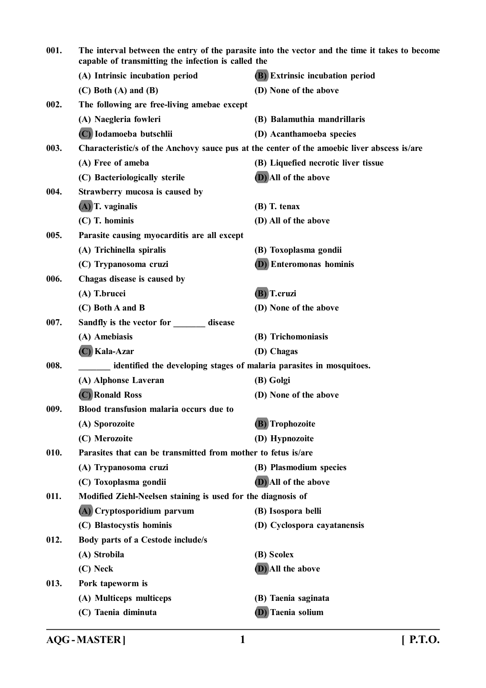| 001. | The interval between the entry of the parasite into the vector and the time it takes to become<br>capable of transmitting the infection is called the |                                                                                             |
|------|-------------------------------------------------------------------------------------------------------------------------------------------------------|---------------------------------------------------------------------------------------------|
|      | (A) Intrinsic incubation period                                                                                                                       | <b>(B)</b> Extrinsic incubation period                                                      |
|      | $(C)$ Both $(A)$ and $(B)$                                                                                                                            | (D) None of the above                                                                       |
| 002. | The following are free-living amebae except                                                                                                           |                                                                                             |
|      | (A) Naegleria fowleri                                                                                                                                 | (B) Balamuthia mandrillaris                                                                 |
|      | (C) Iodamoeba butschlii                                                                                                                               | (D) Acanthamoeba species                                                                    |
| 003. |                                                                                                                                                       | Characteristic/s of the Anchovy sauce pus at the center of the amoebic liver abscess is/are |
|      | (A) Free of ameba                                                                                                                                     | (B) Liquefied necrotic liver tissue                                                         |
|      | (C) Bacteriologically sterile                                                                                                                         | (D) All of the above                                                                        |
| 004. | Strawberry mucosa is caused by                                                                                                                        |                                                                                             |
|      | $(A)$ T. vaginalis                                                                                                                                    | (B) T. tenax                                                                                |
|      | $(C)$ T. hominis                                                                                                                                      | (D) All of the above                                                                        |
| 005. | Parasite causing myocarditis are all except                                                                                                           |                                                                                             |
|      | (A) Trichinella spiralis                                                                                                                              | (B) Toxoplasma gondii                                                                       |
|      | (C) Trypanosoma cruzi                                                                                                                                 | <b>(D)</b> Enteromonas hominis                                                              |
| 006. | Chagas disease is caused by                                                                                                                           |                                                                                             |
|      | (A) T.brucei                                                                                                                                          | (B) T.cruzi                                                                                 |
|      | (C) Both A and B                                                                                                                                      | (D) None of the above                                                                       |
| 007. | Sandfly is the vector for disease                                                                                                                     |                                                                                             |
|      | (A) Amebiasis                                                                                                                                         | (B) Trichomoniasis                                                                          |
|      | (C) Kala-Azar                                                                                                                                         | (D) Chagas                                                                                  |
| 008. |                                                                                                                                                       | identified the developing stages of malaria parasites in mosquitoes.                        |
|      | (A) Alphonse Laveran                                                                                                                                  | (B) Golgi                                                                                   |
|      | (C) Ronald Ross                                                                                                                                       | (D) None of the above                                                                       |
| 009. | Blood transfusion malaria occurs due to                                                                                                               |                                                                                             |
|      | (A) Sporozoite                                                                                                                                        | (B) Trophozoite                                                                             |
|      | (C) Merozoite                                                                                                                                         | (D) Hypnozoite                                                                              |
| 010. | Parasites that can be transmitted from mother to fetus is/are                                                                                         |                                                                                             |
|      | (A) Trypanosoma cruzi                                                                                                                                 | (B) Plasmodium species                                                                      |
|      | (C) Toxoplasma gondii                                                                                                                                 | (D) All of the above                                                                        |
| 011. | Modified Ziehl-Neelsen staining is used for the diagnosis of                                                                                          |                                                                                             |
|      | (A) Cryptosporidium parvum                                                                                                                            | (B) Isospora belli                                                                          |
|      | (C) Blastocystis hominis                                                                                                                              | (D) Cyclospora cayatanensis                                                                 |
| 012. | Body parts of a Cestode include/s                                                                                                                     |                                                                                             |
|      | (A) Strobila                                                                                                                                          | (B) Scolex                                                                                  |
|      | (C) Neck                                                                                                                                              | (D) All the above                                                                           |
| 013. | Pork tapeworm is                                                                                                                                      |                                                                                             |
|      | (A) Multiceps multiceps                                                                                                                               | (B) Taenia saginata                                                                         |
|      | (C) Taenia diminuta                                                                                                                                   | (D) Taenia solium                                                                           |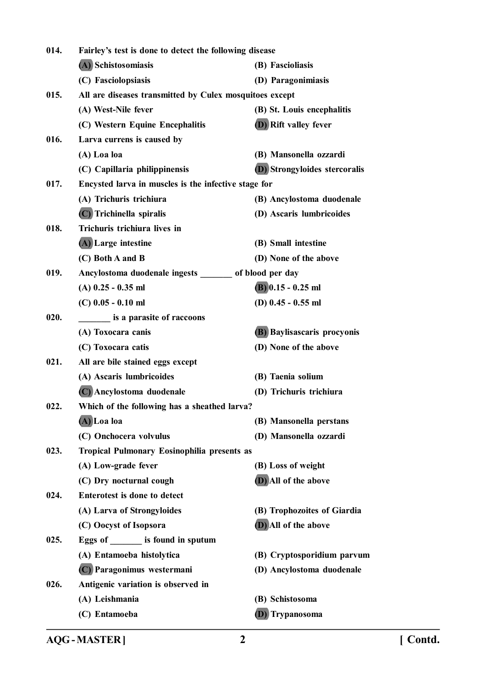| 014. | Fairley's test is done to detect the following disease  |                               |
|------|---------------------------------------------------------|-------------------------------|
|      | (A) Schistosomiasis                                     | (B) Fascioliasis              |
|      | (C) Fasciolopsiasis                                     | (D) Paragonimiasis            |
| 015. | All are diseases transmitted by Culex mosquitoes except |                               |
|      | (A) West-Nile fever                                     | (B) St. Louis encephalitis    |
|      | (C) Western Equine Encephalitis                         | <b>(D)</b> Rift valley fever  |
| 016. | Larva currens is caused by                              |                               |
|      | (A) Loa loa                                             | (B) Mansonella ozzardi        |
|      | (C) Capillaria philippinensis                           | (D) Strongyloides stercoralis |
| 017. | Encysted larva in muscles is the infective stage for    |                               |
|      | (A) Trichuris trichiura                                 | (B) Ancylostoma duodenale     |
|      | (C) Trichinella spiralis                                | (D) Ascaris lumbricoides      |
| 018. | Trichuris trichiura lives in                            |                               |
|      | (A) Large intestine                                     | (B) Small intestine           |
|      | (C) Both A and B                                        | (D) None of the above         |
| 019. | Ancylostoma duodenale ingests _______ of blood per day  |                               |
|      | $(A)$ 0.25 - 0.35 ml                                    | $(B)$ 0.15 - 0.25 ml          |
|      | $(C)$ 0.05 - 0.10 ml                                    | (D) $0.45 - 0.55$ ml          |
| 020. | is a parasite of raccoons                               |                               |
|      | (A) Toxocara canis                                      | (B) Baylisascaris procyonis   |
|      | (C) Toxocara catis                                      | (D) None of the above         |
| 021. | All are bile stained eggs except                        |                               |
|      | (A) Ascaris lumbricoides                                | (B) Taenia solium             |
|      | (C) Ancylostoma duodenale                               | (D) Trichuris trichiura       |
| 022. | Which of the following has a sheathed larva?            |                               |
|      | (A)Loa loa                                              | (B) Mansonella perstans       |
|      | (C) Onchocera volvulus                                  | (D) Mansonella ozzardi        |
| 023. | <b>Tropical Pulmonary Eosinophilia presents as</b>      |                               |
|      | (A) Low-grade fever                                     | (B) Loss of weight            |
|      | (C) Dry nocturnal cough                                 | (D) All of the above          |
| 024. | <b>Enterotest is done to detect</b>                     |                               |
|      | (A) Larva of Strongyloides                              | (B) Trophozoites of Giardia   |
|      | (C) Oocyst of Isopsora                                  | (D) All of the above          |
| 025. | Eggs of ________ is found in sputum                     |                               |
|      | (A) Entamoeba histolytica                               | (B) Cryptosporidium parvum    |
|      | (C) Paragonimus westermani                              | (D) Ancylostoma duodenale     |
| 026. | Antigenic variation is observed in                      |                               |
|      | (A) Leishmania                                          | (B) Schistosoma               |
|      | (C) Entamoeba                                           | (D) Trypanosoma               |

**AQG - MASTER ] 2 [ Contd.**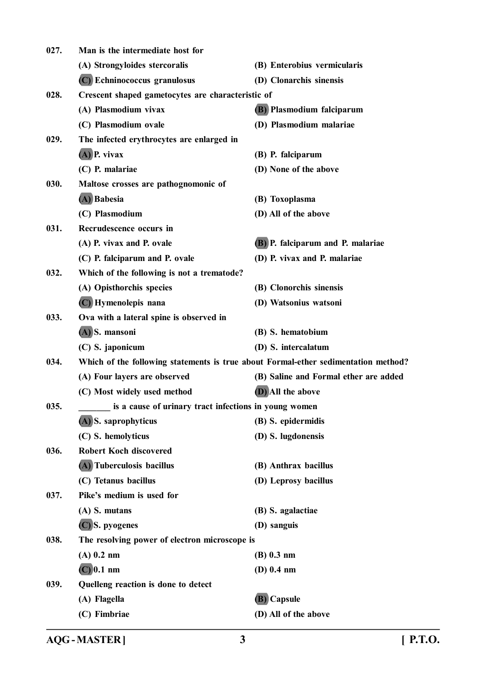| 027. | Man is the intermediate host for                      |                                                                                    |
|------|-------------------------------------------------------|------------------------------------------------------------------------------------|
|      | (A) Strongyloides stercoralis                         | (B) Enterobius vermicularis                                                        |
|      | (C) Echninococcus granulosus                          | (D) Clonarchis sinensis                                                            |
| 028. | Crescent shaped gametocytes are characteristic of     |                                                                                    |
|      | (A) Plasmodium vivax                                  | (B) Plasmodium falciparum                                                          |
|      | (C) Plasmodium ovale                                  | (D) Plasmodium malariae                                                            |
| 029. | The infected erythrocytes are enlarged in             |                                                                                    |
|      | $(A)$ P. vivax                                        | (B) P. falciparum                                                                  |
|      | (C) P. malariae                                       | (D) None of the above                                                              |
| 030. | Maltose crosses are pathognomonic of                  |                                                                                    |
|      | (A) Babesia                                           | (B) Toxoplasma                                                                     |
|      | (C) Plasmodium                                        | (D) All of the above                                                               |
| 031. | Recrudescence occurs in                               |                                                                                    |
|      | (A) P. vivax and P. ovale                             | (B) P. falciparum and P. malariae                                                  |
|      | (C) P. falciparum and P. ovale                        | (D) P. vivax and P. malariae                                                       |
| 032. | Which of the following is not a trematode?            |                                                                                    |
|      | (A) Opisthorchis species                              | (B) Clonorchis sinensis                                                            |
|      | (C) Hymenolepis nana                                  | (D) Watsonius watsoni                                                              |
| 033. | Ova with a lateral spine is observed in               |                                                                                    |
|      | (A) S. mansoni                                        | (B) S. hematobium                                                                  |
|      | (C) S. japonicum                                      | (D) S. intercalatum                                                                |
| 034. |                                                       | Which of the following statements is true about Formal-ether sedimentation method? |
|      | (A) Four layers are observed                          | (B) Saline and Formal ether are added                                              |
|      | (C) Most widely used method                           | <b>(D)</b> All the above                                                           |
| 035. | is a cause of urinary tract infections in young women |                                                                                    |
|      | (A) S. saprophyticus                                  | (B) S. epidermidis                                                                 |
|      | (C) S. hemolyticus                                    | (D) S. lugdonensis                                                                 |
| 036. | <b>Robert Koch discovered</b>                         |                                                                                    |
|      | (A) Tuberculosis bacillus                             | (B) Anthrax bacillus                                                               |
|      | (C) Tetanus bacillus                                  | (D) Leprosy bacillus                                                               |
| 037. | Pike's medium is used for                             |                                                                                    |
|      | (A) S. mutans                                         | (B) S. agalactiae                                                                  |
|      | (C) S. pyogenes                                       | (D) sanguis                                                                        |
| 038. | The resolving power of electron microscope is         |                                                                                    |
|      | $(A)$ 0.2 nm                                          | (B) 0.3 nm                                                                         |
|      | $(C)$ 0.1 nm                                          | $(D)$ 0.4 nm                                                                       |
| 039. | Quelleng reaction is done to detect                   |                                                                                    |
|      | (A) Flagella                                          | (B) Capsule                                                                        |
|      | (C) Fimbriae                                          | (D) All of the above                                                               |

**AQG - MASTER ] 3 [ P.T.O.**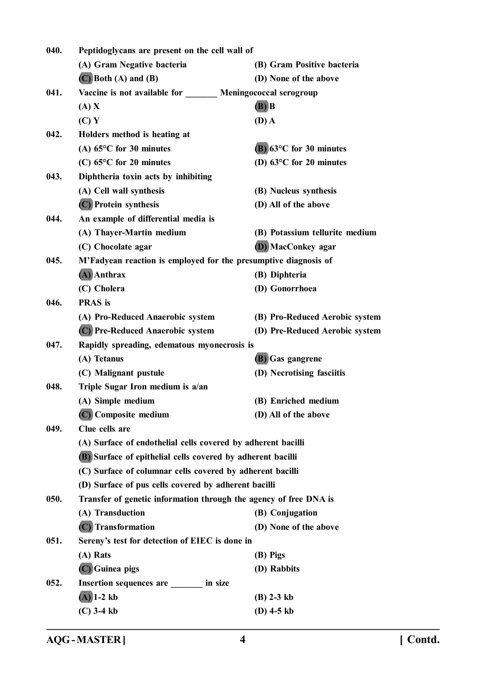| 040. | Peptidoglycans are present on the cell wall of                    |                                     |
|------|-------------------------------------------------------------------|-------------------------------------|
|      | (A) Gram Negative bacteria                                        | (B) Gram Positive bacteria          |
|      | $(C)$ Both $(A)$ and $(B)$                                        | (D) None of the above               |
| 041. | Vaccine is not available for _______ Meningococcal serogroup      |                                     |
|      | (A) X                                                             | $(B)$ $B$                           |
|      | (C) Y                                                             | $(D)$ A                             |
| 042. | Holders method is heating at                                      |                                     |
|      | (A) $65^{\circ}$ C for 30 minutes                                 | $(B)$ 63 $\degree$ C for 30 minutes |
|      | $(C)$ 65 $\degree$ C for 20 minutes                               | (D) $63^{\circ}$ C for 20 minutes   |
| 043. | Diphtheria toxin acts by inhibiting                               |                                     |
|      | (A) Cell wall synthesis                                           | (B) Nucleus synthesis               |
|      | (C) Protein synthesis                                             | (D) All of the above                |
| 044. | An example of differential media is                               |                                     |
|      | (A) Thayer-Martin medium                                          | (B) Potassium tellurite medium      |
|      | (C) Chocolate agar                                                | (D) MacConkey agar                  |
| 045. | M'Fadyean reaction is employed for the presumptive diagnosis of   |                                     |
|      | $(A)$ Anthrax                                                     | (B) Diphteria                       |
|      | (C) Cholera                                                       | (D) Gonorrhoea                      |
| 046. | <b>PRAS</b> is                                                    |                                     |
|      | (A) Pro-Reduced Anaerobic system                                  | (B) Pro-Reduced Aerobic system      |
|      | (C) Pre-Reduced Anaerobic system                                  | (D) Pre-Reduced Aerobic system      |
| 047. | Rapidly spreading, edematous myonecrosis is                       |                                     |
|      | (A) Tetanus                                                       | (B) Gas gangrene                    |
|      | (C) Malignant pustule                                             | (D) Necrotising fasciitis           |
| 048. | Triple Sugar Iron medium is a/an                                  |                                     |
|      | (A) Simple medium                                                 | (B) Enriched medium                 |
|      | (C) Composite medium                                              | (D) All of the above                |
| 049. | Clue cells are                                                    |                                     |
|      | (A) Surface of endothelial cells covered by adherent bacilli      |                                     |
|      | (B) Surface of epithelial cells covered by adherent bacilli       |                                     |
|      | (C) Surface of columnar cells covered by adherent bacilli         |                                     |
|      | (D) Surface of pus cells covered by adherent bacilli              |                                     |
| 050. | Transfer of genetic information through the agency of free DNA is |                                     |
|      | (A) Transduction                                                  | (B) Conjugation                     |
|      | (C) Transformation                                                | (D) None of the above               |
| 051. | Sereny's test for detection of EIEC is done in                    |                                     |
|      | (A) Rats                                                          | (B) Pigs                            |
|      | (C) Guinea pigs                                                   | (D) Rabbits                         |
| 052. | Insertion sequences are in size                                   |                                     |
|      | $(A)$ 1-2 kb                                                      | $(B)$ 2-3 kb                        |
|      | $(C)$ 3-4 kb                                                      | (D) $4-5$ kb                        |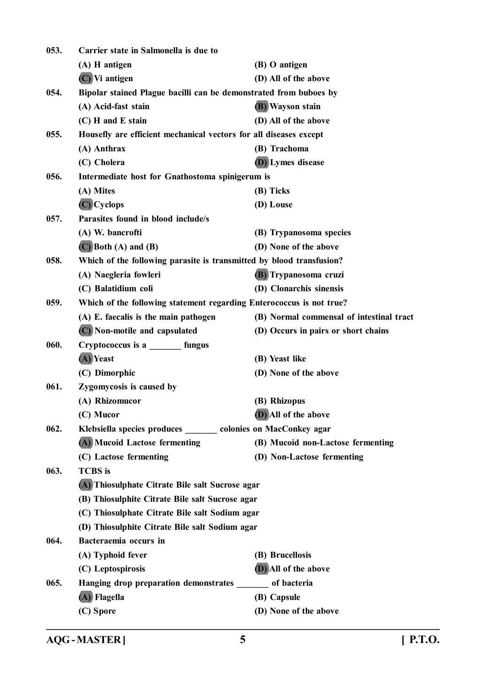| 053. | Carrier state in Salmonella is due to                                |                                          |
|------|----------------------------------------------------------------------|------------------------------------------|
|      | (A) H antigen                                                        | (B) O antigen                            |
|      | $(C)$ Vi antigen                                                     | (D) All of the above                     |
| 054. | Bipolar stained Plague bacilli can be demonstrated from buboes by    |                                          |
|      | (A) Acid-fast stain                                                  | <b>(B)</b> Wayson stain                  |
|      | (C) H and E stain                                                    | (D) All of the above                     |
| 055. | Housefly are efficient mechanical vectors for all diseases except    |                                          |
|      | (A) Anthrax                                                          | (B) Trachoma                             |
|      | (C) Cholera                                                          | (D) Lymes disease                        |
| 056. | Intermediate host for Gnathostoma spinigerum is                      |                                          |
|      | (A) Mites                                                            | (B) Ticks                                |
|      | $(C)$ Cyclops                                                        | (D) Louse                                |
| 057. | Parasites found in blood include/s                                   |                                          |
|      | (A) W. bancrofti                                                     | (B) Trypanosoma species                  |
|      | $(C)$ Both $(A)$ and $(B)$                                           | (D) None of the above                    |
| 058. | Which of the following parasite is transmitted by blood transfusion? |                                          |
|      | (A) Naegleria fowleri                                                | (B) Trypanosoma cruzi                    |
|      | (C) Balatidium coli                                                  | (D) Clonarchis sinensis                  |
| 059. | Which of the following statement regarding Enterococcus is not true? |                                          |
|      | (A) E. faecalis is the main pathogen                                 | (B) Normal commensal of intestinal tract |
|      | (C) Non-motile and capsulated                                        | (D) Occurs in pairs or short chains      |
| 060. | Cryptococcus is a ________ fungus                                    |                                          |
|      | (A) Yeast                                                            | (B) Yeast like                           |
|      | (C) Dimorphic                                                        | (D) None of the above                    |
| 061. | Zygomycosis is caused by                                             |                                          |
|      | (A) Rhizomucor                                                       | (B) Rhizopus                             |
|      | (C) Mucor                                                            | (D) All of the above                     |
| 062. | Klebsiella species produces ______ colonies on MacConkey agar        |                                          |
|      | (A) Mucoid Lactose fermenting                                        | (B) Mucoid non-Lactose fermenting        |
|      | (C) Lactose fermenting                                               | (D) Non-Lactose fermenting               |
| 063. | <b>TCBS</b> is                                                       |                                          |
|      | (A) Thiosulphate Citrate Bile salt Sucrose agar                      |                                          |
|      | (B) Thiosulphite Citrate Bile salt Sucrose agar                      |                                          |
|      | (C) Thiosulphate Citrate Bile salt Sodium agar                       |                                          |
|      | (D) Thiosulphite Citrate Bile salt Sodium agar                       |                                          |
| 064. | Bacteraemia occurs in                                                |                                          |
|      | (A) Typhoid fever                                                    | (B) Brucellosis                          |
|      | (C) Leptospirosis                                                    | (D) All of the above                     |
| 065. | Hanging drop preparation demonstrates                                | of bacteria                              |
|      | (A) Flagella                                                         | (B) Capsule                              |
|      | (C) Spore                                                            | (D) None of the above                    |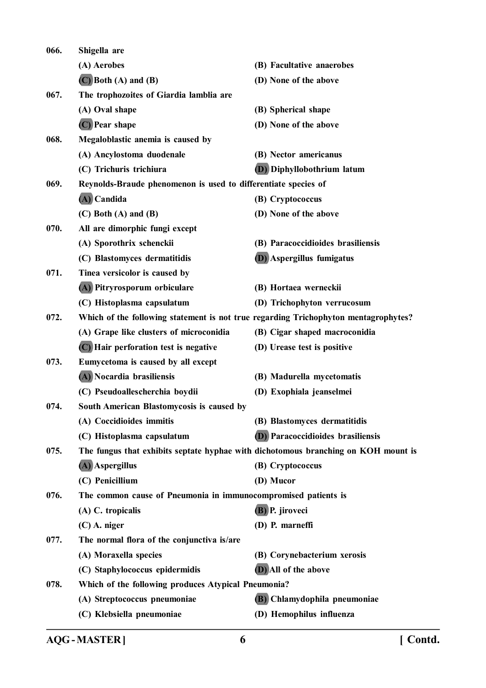| 066. | Shigella are                                                   |                                                                                     |
|------|----------------------------------------------------------------|-------------------------------------------------------------------------------------|
|      | (A) Aerobes                                                    | (B) Facultative anaerobes                                                           |
|      | $(C)$ Both $(A)$ and $(B)$                                     | (D) None of the above                                                               |
| 067. | The trophozoites of Giardia lamblia are                        |                                                                                     |
|      | (A) Oval shape                                                 | (B) Spherical shape                                                                 |
|      | (C) Pear shape                                                 | (D) None of the above                                                               |
| 068. | Megaloblastic anemia is caused by                              |                                                                                     |
|      | (A) Ancylostoma duodenale                                      | (B) Nector americanus                                                               |
|      | (C) Trichuris trichiura                                        | <b>(D)</b> Diphyllobothrium latum                                                   |
| 069. | Reynolds-Braude phenomenon is used to differentiate species of |                                                                                     |
|      | $(A)$ Candida                                                  | (B) Cryptococcus                                                                    |
|      | $(C)$ Both $(A)$ and $(B)$                                     | (D) None of the above                                                               |
| 070. | All are dimorphic fungi except                                 |                                                                                     |
|      | (A) Sporothrix schenckii                                       | (B) Paracoccidioides brasiliensis                                                   |
|      | (C) Blastomyces dermatitidis                                   | <b>(D)</b> Aspergillus fumigatus                                                    |
| 071. | Tinea versicolor is caused by                                  |                                                                                     |
|      | (A) Pitryrosporum orbiculare                                   | (B) Hortaea werneckii                                                               |
|      | (C) Histoplasma capsulatum                                     | (D) Trichophyton verrucosum                                                         |
| 072. |                                                                | Which of the following statement is not true regarding Trichophyton mentagrophytes? |
|      | (A) Grape like clusters of microconidia                        | (B) Cigar shaped macroconidia                                                       |
|      | (C) Hair perforation test is negative                          | (D) Urease test is positive                                                         |
| 073. | Eumycetoma is caused by all except                             |                                                                                     |
|      | (A) Nocardia brasiliensis                                      | (B) Madurella mycetomatis                                                           |
|      | (C) Pseudoallescherchia boydii                                 | (D) Exophiala jeanselmei                                                            |
| 074. | South American Blastomycosis is caused by                      |                                                                                     |
|      | (A) Coccidioides immitis                                       | (B) Blastomyces dermatitidis                                                        |
|      | (C) Histoplasma capsulatum                                     | <b>(D)</b> Paracoccidioides brasiliensis                                            |
| 075. |                                                                | The fungus that exhibits septate hyphae with dichotomous branching on KOH mount is  |
|      | (A) Aspergillus                                                | (B) Cryptococcus                                                                    |
|      | (C) Penicillium                                                | (D) Mucor                                                                           |
| 076. | The common cause of Pneumonia in immunocompromised patients is |                                                                                     |
|      | (A) C. tropicalis                                              | (B) P. jiroveci                                                                     |
|      | $(C)$ A. niger                                                 | (D) P. marneffi                                                                     |
| 077. | The normal flora of the conjunctiva is/are                     |                                                                                     |
|      | (A) Moraxella species                                          | (B) Corynebacterium xerosis                                                         |
|      | (C) Staphylococcus epidermidis                                 | (D) All of the above                                                                |
| 078. | Which of the following produces Atypical Pneumonia?            |                                                                                     |
|      | (A) Streptococcus pneumoniae                                   | (B) Chlamydophila pneumoniae                                                        |
|      | (C) Klebsiella pneumoniae                                      | (D) Hemophilus influenza                                                            |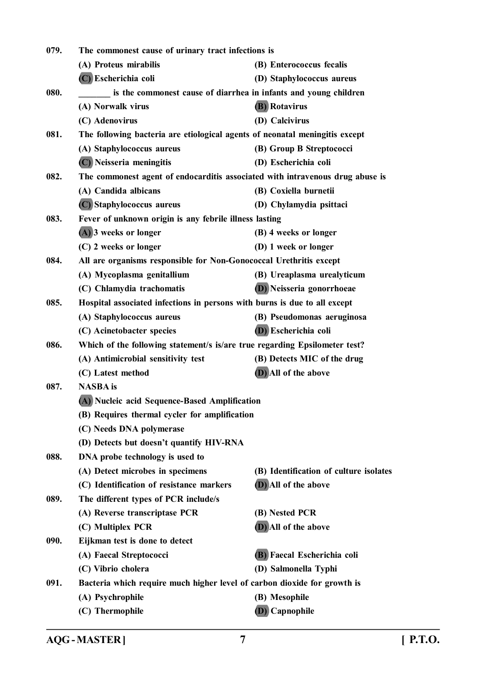| The commonest cause of urinary tract infections is<br>079. |                                                                               |                                        |
|------------------------------------------------------------|-------------------------------------------------------------------------------|----------------------------------------|
|                                                            | (A) Proteus mirabilis                                                         | (B) Enterococcus fecalis               |
|                                                            | (C) Escherichia coli                                                          | (D) Staphylococcus aureus              |
| 080.                                                       | is the commonest cause of diarrhea in infants and young children              |                                        |
|                                                            | (A) Norwalk virus                                                             | <b>(B)</b> Rotavirus                   |
|                                                            | (C) Adenovirus                                                                | (D) Calcivirus                         |
| 081.                                                       | The following bacteria are etiological agents of neonatal meningitis except   |                                        |
|                                                            | (A) Staphylococcus aureus                                                     | (B) Group B Streptococci               |
|                                                            | (C) Neisseria meningitis                                                      | (D) Escherichia coli                   |
| 082.                                                       | The commonest agent of endocarditis associated with intravenous drug abuse is |                                        |
|                                                            | (A) Candida albicans                                                          | (B) Coxiella burnetii                  |
|                                                            | (C) Staphylococcus aureus                                                     | (D) Chylamydia psittaci                |
| 083.                                                       | Fever of unknown origin is any febrile illness lasting                        |                                        |
|                                                            | (A) 3 weeks or longer                                                         | (B) 4 weeks or longer                  |
|                                                            | (C) 2 weeks or longer                                                         | (D) 1 week or longer                   |
| 084.                                                       | All are organisms responsible for Non-Gonococcal Urethritis except            |                                        |
|                                                            | (A) Mycoplasma genitallium                                                    | (B) Ureaplasma urealyticum             |
|                                                            | (C) Chlamydia trachomatis                                                     | (D) Neisseria gonorrhoeae              |
| 085.                                                       | Hospital associated infections in persons with burns is due to all except     |                                        |
|                                                            | (A) Staphylococcus aureus                                                     | (B) Pseudomonas aeruginosa             |
|                                                            | (C) Acinetobacter species                                                     | (D) Escherichia coli                   |
| 086.                                                       | Which of the following statement/s is/are true regarding Epsilometer test?    |                                        |
|                                                            | (A) Antimicrobial sensitivity test                                            | (B) Detects MIC of the drug            |
|                                                            | (C) Latest method                                                             | (D) All of the above                   |
| 087.                                                       | <b>NASBA</b> is                                                               |                                        |
|                                                            | (A) Nucleic acid Sequence-Based Amplification                                 |                                        |
|                                                            | (B) Requires thermal cycler for amplification                                 |                                        |
|                                                            | (C) Needs DNA polymerase                                                      |                                        |
|                                                            | (D) Detects but doesn't quantify HIV-RNA                                      |                                        |
| 088.                                                       | DNA probe technology is used to                                               |                                        |
|                                                            | (A) Detect microbes in specimens                                              | (B) Identification of culture isolates |
|                                                            | (C) Identification of resistance markers                                      | (D) All of the above                   |
| 089.                                                       | The different types of PCR include/s                                          |                                        |
|                                                            | (A) Reverse transcriptase PCR                                                 | (B) Nested PCR                         |
|                                                            | (C) Multiplex PCR                                                             | (D) All of the above                   |
| 090.                                                       | Eijkman test is done to detect                                                |                                        |
|                                                            | (A) Faecal Streptococci                                                       | (B) Faecal Escherichia coli            |
|                                                            | (C) Vibrio cholera                                                            | (D) Salmonella Typhi                   |
| 091.                                                       | Bacteria which require much higher level of carbon dioxide for growth is      |                                        |
|                                                            | (A) Psychrophile                                                              | (B) Mesophile                          |
|                                                            | (C) Thermophile                                                               | (D) Capnophile                         |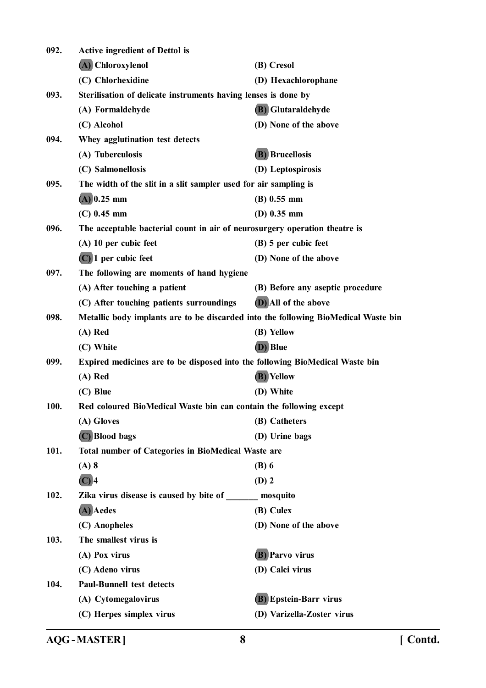| 092. | Active ingredient of Dettol is                                                     |                                  |
|------|------------------------------------------------------------------------------------|----------------------------------|
|      | (A) Chloroxylenol                                                                  | (B) Cresol                       |
|      | (C) Chlorhexidine                                                                  | (D) Hexachlorophane              |
| 093. | Sterilisation of delicate instruments having lenses is done by                     |                                  |
|      | (A) Formaldehyde                                                                   | (B) Glutaraldehyde               |
|      | (C) Alcohol                                                                        | (D) None of the above            |
| 094. | Whey agglutination test detects                                                    |                                  |
|      | (A) Tuberculosis                                                                   | <b>(B)</b> Brucellosis           |
|      | (C) Salmonellosis                                                                  | (D) Leptospirosis                |
| 095. | The width of the slit in a slit sampler used for air sampling is                   |                                  |
|      | $(A)$ 0.25 mm                                                                      | $(B)$ 0.55 mm                    |
|      | $(C)$ 0.45 mm                                                                      | (D) $0.35$ mm                    |
| 096. | The acceptable bacterial count in air of neurosurgery operation theatre is         |                                  |
|      | (A) 10 per cubic feet                                                              | (B) 5 per cubic feet             |
|      | $(C)$ 1 per cubic feet                                                             | (D) None of the above            |
| 097. | The following are moments of hand hygiene                                          |                                  |
|      | (A) After touching a patient                                                       | (B) Before any aseptic procedure |
|      | (C) After touching patients surroundings                                           | (D) All of the above             |
| 098. | Metallic body implants are to be discarded into the following BioMedical Waste bin |                                  |
|      | (A) Red                                                                            | (B) Yellow                       |
|      | (C) White                                                                          | (D) Blue                         |
| 099. | Expired medicines are to be disposed into the following BioMedical Waste bin       |                                  |
|      | $(A)$ Red                                                                          | (B) Yellow                       |
|      | (C) Blue                                                                           | (D) White                        |
| 100. | Red coloured BioMedical Waste bin can contain the following except                 |                                  |
|      | (A) Gloves                                                                         | (B) Catheters                    |
|      | (C) Blood bags                                                                     | (D) Urine bags                   |
| 101. | <b>Total number of Categories in BioMedical Waste are</b>                          |                                  |
|      | $(A)$ 8                                                                            | $(B)$ 6                          |
|      | $(C)$ 4                                                                            | $(D)$ 2                          |
| 102. | Zika virus disease is caused by bite of ________ mosquito                          |                                  |
|      | (A) Aedes                                                                          | (B) Culex                        |
|      | (C) Anopheles                                                                      | (D) None of the above            |
| 103. | The smallest virus is                                                              |                                  |
|      | (A) Pox virus                                                                      | <b>(B)</b> Parvo virus           |
|      | (C) Adeno virus                                                                    | (D) Calci virus                  |
| 104. | <b>Paul-Bunnell test detects</b>                                                   |                                  |
|      | (A) Cytomegalovirus                                                                | (B) Epstein-Barr virus           |
|      | (C) Herpes simplex virus                                                           | (D) Varizella-Zoster virus       |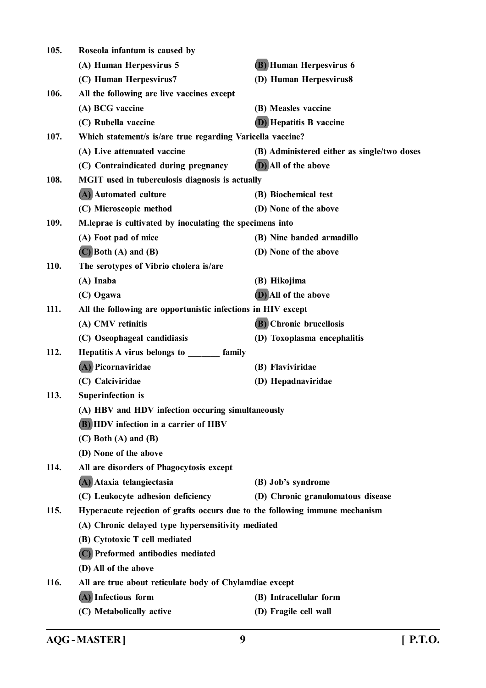| 105.        | Roseola infantum is caused by                                               |                                             |
|-------------|-----------------------------------------------------------------------------|---------------------------------------------|
|             | (A) Human Herpesvirus 5                                                     | <b>(B)</b> Human Herpesvirus 6              |
|             | (C) Human Herpesvirus7                                                      | (D) Human Herpesvirus8                      |
| 106.        | All the following are live vaccines except                                  |                                             |
|             | (A) BCG vaccine                                                             | (B) Measles vaccine                         |
|             | (C) Rubella vaccine                                                         | <b>(D)</b> Hepatitis B vaccine              |
| 107.        | Which statement/s is/are true regarding Varicella vaccine?                  |                                             |
|             | (A) Live attenuated vaccine                                                 | (B) Administered either as single/two doses |
|             | (C) Contraindicated during pregnancy                                        | (D) All of the above                        |
| 108.        | <b>MGIT</b> used in tuberculosis diagnosis is actually                      |                                             |
|             | (A) Automated culture                                                       | (B) Biochemical test                        |
|             | (C) Microscopic method                                                      | (D) None of the above                       |
| 109.        | M. leprae is cultivated by inoculating the specimens into                   |                                             |
|             | (A) Foot pad of mice                                                        | (B) Nine banded armadillo                   |
|             | $(C)$ Both $(A)$ and $(B)$                                                  | (D) None of the above                       |
| <b>110.</b> | The serotypes of Vibrio cholera is/are                                      |                                             |
|             | (A) Inaba                                                                   | (B) Hikojima                                |
|             | (C) Ogawa                                                                   | (D) All of the above                        |
| 111.        | All the following are opportunistic infections in HIV except                |                                             |
|             | (A) CMV retinitis                                                           | (B) Chronic brucellosis                     |
|             | (C) Oseophageal candidiasis                                                 | (D) Toxoplasma encephalitis                 |
| 112.        | Hepatitis A virus belongs to ________ family                                |                                             |
|             | (A) Picornaviridae                                                          | (B) Flaviviridae                            |
|             | (C) Calciviridae                                                            | (D) Hepadnaviridae                          |
| 113.        | <b>Superinfection</b> is                                                    |                                             |
|             | (A) HBV and HDV infection occuring simultaneously                           |                                             |
|             | <b>(B)</b> HDV infection in a carrier of HBV                                |                                             |
|             | $(C)$ Both $(A)$ and $(B)$                                                  |                                             |
|             | (D) None of the above                                                       |                                             |
| 114.        | All are disorders of Phagocytosis except                                    |                                             |
|             | (A) Ataxia telangiectasia                                                   | (B) Job's syndrome                          |
|             | (C) Leukocyte adhesion deficiency                                           | (D) Chronic granulomatous disease           |
| 115.        | Hyperacute rejection of grafts occurs due to the following immune mechanism |                                             |
|             | (A) Chronic delayed type hypersensitivity mediated                          |                                             |
|             | (B) Cytotoxic T cell mediated                                               |                                             |
|             | (C) Preformed antibodies mediated                                           |                                             |
|             | (D) All of the above                                                        |                                             |
| 116.        | All are true about reticulate body of Chylamdiae except                     |                                             |
|             | (A) Infectious form                                                         | (B) Intracellular form                      |
|             | (C) Metabolically active                                                    | (D) Fragile cell wall                       |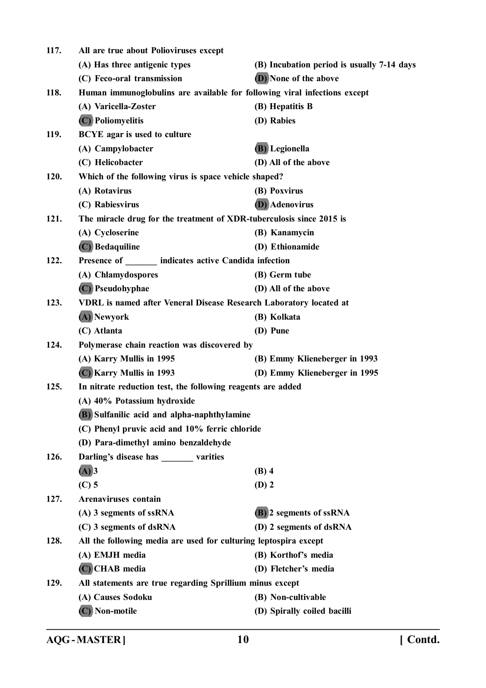| 117. | All are true about Polioviruses except                                    |                                            |
|------|---------------------------------------------------------------------------|--------------------------------------------|
|      | (A) Has three antigenic types                                             | (B) Incubation period is usually 7-14 days |
|      | (C) Feco-oral transmission                                                | (D) None of the above                      |
| 118. | Human immunoglobulins are available for following viral infections except |                                            |
|      | (A) Varicella-Zoster                                                      | (B) Hepatitis B                            |
|      | (C) Poliomyelitis                                                         | (D) Rabies                                 |
| 119. | <b>BCYE</b> agar is used to culture                                       |                                            |
|      | (A) Campylobacter                                                         | (B) Legionella                             |
|      | (C) Helicobacter                                                          | (D) All of the above                       |
| 120. | Which of the following virus is space vehicle shaped?                     |                                            |
|      | (A) Rotavirus                                                             | (B) Poxvirus                               |
|      | (C) Rabiesvirus                                                           | <b>(D)</b> Adenovirus                      |
| 121. | The miracle drug for the treatment of XDR-tuberculosis since 2015 is      |                                            |
|      | (A) Cycloserine                                                           | (B) Kanamycin                              |
|      | (C) Bedaquiline                                                           | (D) Ethionamide                            |
| 122. | Presence of indicates active Candida infection                            |                                            |
|      | (A) Chlamydospores                                                        | (B) Germ tube                              |
|      | (C) Pseudohyphae                                                          | (D) All of the above                       |
| 123. | VDRL is named after Veneral Disease Research Laboratory located at        |                                            |
|      | (A) Newyork                                                               | (B) Kolkata                                |
|      | (C) Atlanta                                                               | (D) Pune                                   |
| 124. | Polymerase chain reaction was discovered by                               |                                            |
|      | (A) Karry Mullis in 1995                                                  | (B) Emmy Klieneberger in 1993              |
|      | (C) Karry Mullis in 1993                                                  | (D) Emmy Klieneberger in 1995              |
| 125. | In nitrate reduction test, the following reagents are added               |                                            |
|      | (A) 40% Potassium hydroxide                                               |                                            |
|      | (B) Sulfanilic acid and alpha-naphthylamine                               |                                            |
|      | (C) Phenyl pruvic acid and 10% ferric chloride                            |                                            |
|      | (D) Para-dimethyl amino benzaldehyde                                      |                                            |
| 126. | Darling's disease has ________ varities                                   |                                            |
|      | $(A)$ 3                                                                   | $(B)$ 4                                    |
|      | $(C)$ 5                                                                   | $(D)$ 2                                    |
| 127. | <b>Arenaviruses</b> contain                                               |                                            |
|      | (A) 3 segments of ssRNA                                                   | (B) 2 segments of ssRNA                    |
|      | (C) 3 segments of dsRNA                                                   | (D) 2 segments of dsRNA                    |
| 128. | All the following media are used for culturing leptospira except          |                                            |
|      | (A) EMJH media                                                            | (B) Korthof's media                        |
|      | (C) CHAB media                                                            | (D) Fletcher's media                       |
| 129. | All statements are true regarding Sprillium minus except                  |                                            |
|      | (A) Causes Sodoku                                                         | (B) Non-cultivable                         |
|      | (C) Non-motile                                                            | (D) Spirally coiled bacilli                |
|      |                                                                           |                                            |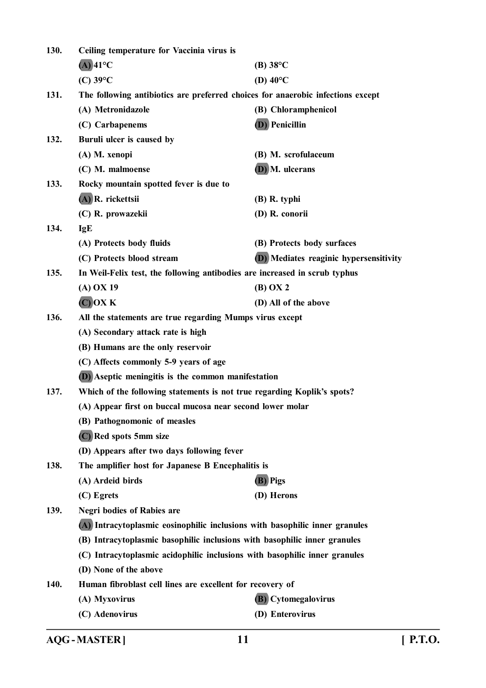| 130. | Ceiling temperature for Vaccinia virus is                                       |                                        |
|------|---------------------------------------------------------------------------------|----------------------------------------|
|      | $(A)$ 41°C                                                                      | $(B) 38$ °C                            |
|      | $(C)$ 39 $\mathrm{^{\circ}C}$                                                   | (D) $40^{\circ}$ C                     |
| 131. | The following antibiotics are preferred choices for anaerobic infections except |                                        |
|      | (A) Metronidazole                                                               | (B) Chloramphenicol                    |
|      | (C) Carbapenems                                                                 | <b>(D)</b> Penicillin                  |
| 132. | Buruli ulcer is caused by                                                       |                                        |
|      | (A) M. xenopi                                                                   | (B) M. scrofulaceum                    |
|      | (C) M. malmoense                                                                | (D) M. ulcerans                        |
| 133. | Rocky mountain spotted fever is due to                                          |                                        |
|      | (A) R. rickettsii                                                               | $(B)$ R. typhi                         |
|      | (C) R. prowazekii                                                               | (D) R. conorii                         |
| 134. | <b>IgE</b>                                                                      |                                        |
|      | (A) Protects body fluids                                                        | (B) Protects body surfaces             |
|      | (C) Protects blood stream                                                       | (D) Mediates reaginic hypersensitivity |
| 135. | In Weil-Felix test, the following antibodies are increased in scrub typhus      |                                        |
|      | $(A)$ OX 19                                                                     | (B) OX 2                               |
|      | $(C)$ OX $K$                                                                    | (D) All of the above                   |
| 136. | All the statements are true regarding Mumps virus except                        |                                        |
|      | (A) Secondary attack rate is high                                               |                                        |
|      | (B) Humans are the only reservoir                                               |                                        |
|      | (C) Affects commonly 5-9 years of age                                           |                                        |
|      | (D) Aseptic meningitis is the common manifestation                              |                                        |
| 137. | Which of the following statements is not true regarding Koplik's spots?         |                                        |
|      | (A) Appear first on buccal mucosa near second lower molar                       |                                        |
|      | (B) Pathognomonic of measles                                                    |                                        |
|      | (C) Red spots 5mm size                                                          |                                        |
|      | (D) Appears after two days following fever                                      |                                        |
| 138. | The amplifier host for Japanese B Encephalitis is                               |                                        |
|      | (A) Ardeid birds                                                                | (B) Pigs                               |
|      | (C) Egrets                                                                      | (D) Herons                             |
| 139. | <b>Negri bodies of Rabies are</b>                                               |                                        |
|      | (A) Intracytoplasmic eosinophilic inclusions with basophilic inner granules     |                                        |
|      | (B) Intracytoplasmic basophilic inclusions with basophilic inner granules       |                                        |
|      | (C) Intracytoplasmic acidophilic inclusions with basophilic inner granules      |                                        |
|      | (D) None of the above                                                           |                                        |
| 140. | Human fibroblast cell lines are excellent for recovery of                       |                                        |
|      | (A) Myxovirus                                                                   | (B) Cytomegalovirus                    |
|      | (C) Adenovirus                                                                  | (D) Enterovirus                        |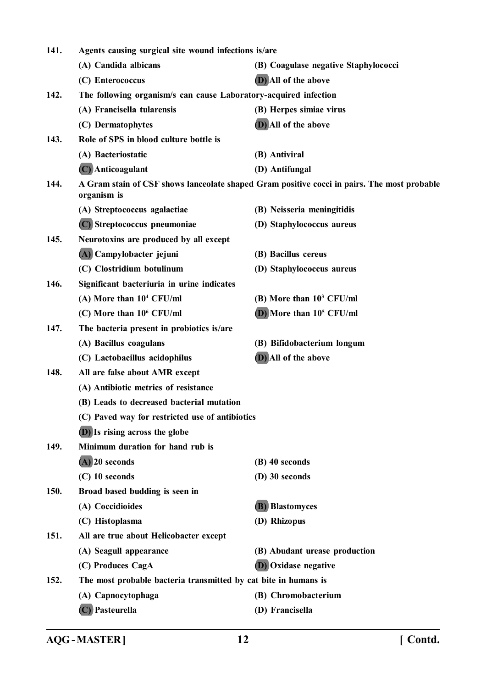| 141.                                            | Agents causing surgical site wound infections is/are             |                                                                                             |  |
|-------------------------------------------------|------------------------------------------------------------------|---------------------------------------------------------------------------------------------|--|
|                                                 | (A) Candida albicans                                             | (B) Coagulase negative Staphylococci                                                        |  |
|                                                 | (C) Enterococcus                                                 | (D) All of the above                                                                        |  |
| 142.                                            | The following organism/s can cause Laboratory-acquired infection |                                                                                             |  |
|                                                 | (A) Francisella tularensis                                       | (B) Herpes simiae virus                                                                     |  |
|                                                 | (C) Dermatophytes                                                | (D) All of the above                                                                        |  |
| 143.                                            | Role of SPS in blood culture bottle is                           |                                                                                             |  |
|                                                 | (A) Bacteriostatic                                               | (B) Antiviral                                                                               |  |
|                                                 | (C) Anticoagulant                                                | (D) Antifungal                                                                              |  |
| 144.                                            | organism is                                                      | A Gram stain of CSF shows lanceolate shaped Gram positive cocci in pairs. The most probable |  |
|                                                 | (A) Streptococcus agalactiae                                     | (B) Neisseria meningitidis                                                                  |  |
|                                                 | (C) Streptococcus pneumoniae                                     | (D) Staphylococcus aureus                                                                   |  |
| 145.                                            | Neurotoxins are produced by all except                           |                                                                                             |  |
|                                                 | (A) Campylobacter jejuni                                         | (B) Bacillus cereus                                                                         |  |
|                                                 | (C) Clostridium botulinum                                        | (D) Staphylococcus aureus                                                                   |  |
| 146.                                            | Significant bacteriuria in urine indicates                       |                                                                                             |  |
|                                                 | (A) More than 10 <sup>4</sup> CFU/ml                             | (B) More than 10 <sup>3</sup> CFU/ml                                                        |  |
|                                                 | (C) More than 10 <sup>6</sup> CFU/ml                             | (D) More than 10 <sup>5</sup> CFU/ml                                                        |  |
| 147.                                            | The bacteria present in probiotics is/are                        |                                                                                             |  |
|                                                 | (A) Bacillus coagulans                                           | (B) Bifidobacterium longum                                                                  |  |
|                                                 | (C) Lactobacillus acidophilus                                    | (D) All of the above                                                                        |  |
| 148.                                            | All are false about AMR except                                   |                                                                                             |  |
|                                                 | (A) Antibiotic metrics of resistance                             |                                                                                             |  |
|                                                 | (B) Leads to decreased bacterial mutation                        |                                                                                             |  |
| (C) Paved way for restricted use of antibiotics |                                                                  |                                                                                             |  |
|                                                 | <b>(D)</b> Is rising across the globe                            |                                                                                             |  |
| 149.                                            | Minimum duration for hand rub is                                 |                                                                                             |  |
|                                                 | $(A)$ 20 seconds                                                 | (B) 40 seconds                                                                              |  |
|                                                 | $(C)$ 10 seconds                                                 | (D) 30 seconds                                                                              |  |
| 150.                                            | Broad based budding is seen in                                   |                                                                                             |  |
|                                                 | (A) Coccidioides                                                 | <b>(B)</b> Blastomyces                                                                      |  |
|                                                 | (C) Histoplasma                                                  | (D) Rhizopus                                                                                |  |
| 151.                                            | All are true about Helicobacter except                           |                                                                                             |  |
|                                                 | (A) Seagull appearance                                           | (B) Abudant urease production                                                               |  |
|                                                 | (C) Produces CagA                                                | <b>(D)</b> Oxidase negative                                                                 |  |
| 152.                                            | The most probable bacteria transmitted by cat bite in humans is  |                                                                                             |  |
|                                                 | (A) Capnocytophaga                                               | (B) Chromobacterium                                                                         |  |
|                                                 | (C) Pasteurella                                                  | (D) Francisella                                                                             |  |
|                                                 |                                                                  |                                                                                             |  |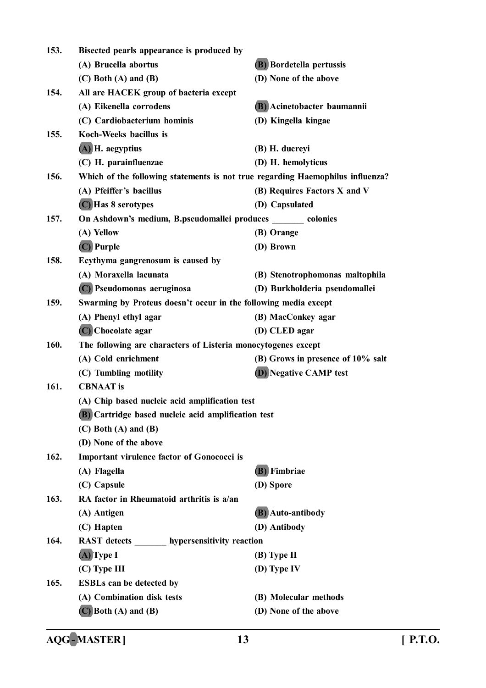| 153. | Bisected pearls appearance is produced by                                      |                                   |
|------|--------------------------------------------------------------------------------|-----------------------------------|
|      | (A) Brucella abortus                                                           | (B) Bordetella pertussis          |
|      | $(C)$ Both $(A)$ and $(B)$                                                     | (D) None of the above             |
| 154. | All are HACEK group of bacteria except                                         |                                   |
|      | (A) Eikenella corrodens                                                        | (B) Acinetobacter baumannii       |
|      | (C) Cardiobacterium hominis                                                    | (D) Kingella kingae               |
| 155. | Koch-Weeks bacillus is                                                         |                                   |
|      | (A) H. aegyptius                                                               | (B) H. ducreyi                    |
|      | (C) H. parainfluenzae                                                          | (D) H. hemolyticus                |
| 156. | Which of the following statements is not true regarding Haemophilus influenza? |                                   |
|      | (A) Pfeiffer's bacillus                                                        | (B) Requires Factors X and V      |
|      | (C) Has 8 serotypes                                                            | (D) Capsulated                    |
| 157. | On Ashdown's medium, B.pseudomallei produces _______ colonies                  |                                   |
|      | (A) Yellow                                                                     | (B) Orange                        |
|      | (C) Purple                                                                     | (D) Brown                         |
| 158. | Ecythyma gangrenosum is caused by                                              |                                   |
|      | (A) Moraxella lacunata                                                         | (B) Stenotrophomonas maltophila   |
|      | (C) Pseudomonas aeruginosa                                                     | (D) Burkholderia pseudomallei     |
| 159. | Swarming by Proteus doesn't occur in the following media except                |                                   |
|      | (A) Phenyl ethyl agar                                                          | (B) MacConkey agar                |
|      | (C) Chocolate agar                                                             | (D) CLED agar                     |
| 160. | The following are characters of Listeria monocytogenes except                  |                                   |
|      | (A) Cold enrichment                                                            | (B) Grows in presence of 10% salt |
|      | (C) Tumbling motility                                                          | <b>(D)</b> Negative CAMP test     |
| 161. | <b>CBNAAT</b> is                                                               |                                   |
|      | (A) Chip based nucleic acid amplification test                                 |                                   |
|      | (B) Cartridge based nucleic acid amplification test                            |                                   |
|      | $(C)$ Both $(A)$ and $(B)$                                                     |                                   |
|      | (D) None of the above                                                          |                                   |
| 162. | <b>Important virulence factor of Gonococci is</b>                              |                                   |
|      | (A) Flagella                                                                   | (B) Fimbriae                      |
|      | (C) Capsule                                                                    | (D) Spore                         |
| 163. | RA factor in Rheumatoid arthritis is a/an                                      |                                   |
|      | (A) Antigen                                                                    | (B) Auto-antibody                 |
|      | (C) Hapten                                                                     | (D) Antibody                      |
| 164. | RAST detects _______ hypersensitivity reaction                                 |                                   |
|      | $(A)$ Type I                                                                   | $(B)$ Type II                     |
|      | (C) Type III                                                                   | (D) Type IV                       |
| 165. | <b>ESBLs can be detected by</b>                                                |                                   |
|      | (A) Combination disk tests                                                     | (B) Molecular methods             |
|      | $(C)$ Both $(A)$ and $(B)$                                                     | (D) None of the above             |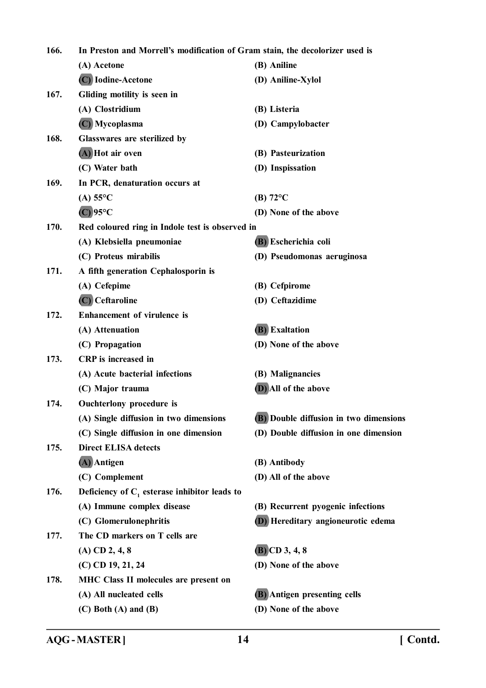| 166. | In Preston and Morrell's modification of Gram stain, the decolorizer used is |                                           |  |
|------|------------------------------------------------------------------------------|-------------------------------------------|--|
|      | (A) Acetone                                                                  | (B) Aniline                               |  |
|      | (C) Iodine-Acetone                                                           | (D) Aniline-Xylol                         |  |
| 167. | Gliding motility is seen in                                                  |                                           |  |
|      | (A) Clostridium                                                              | (B) Listeria                              |  |
|      | (C) Mycoplasma                                                               | (D) Campylobacter                         |  |
| 168. | Glasswares are sterilized by                                                 |                                           |  |
|      | (A) Hot air oven                                                             | (B) Pasteurization                        |  |
|      | (C) Water bath                                                               | (D) Inspissation                          |  |
| 169. | In PCR, denaturation occurs at                                               |                                           |  |
|      | (A) $55^{\circ}$ C                                                           | (B) $72^{\circ}$ C                        |  |
|      | $(C)$ 95°C                                                                   | (D) None of the above                     |  |
| 170. | Red coloured ring in Indole test is observed in                              |                                           |  |
|      | (A) Klebsiella pneumoniae                                                    | (B) Escherichia coli                      |  |
|      | (C) Proteus mirabilis                                                        | (D) Pseudomonas aeruginosa                |  |
| 171. | A fifth generation Cephalosporin is                                          |                                           |  |
|      | (A) Cefepime                                                                 | (B) Cefpirome                             |  |
|      | (C) Ceftaroline                                                              | (D) Ceftazidime                           |  |
| 172. | <b>Enhancement of virulence is</b>                                           |                                           |  |
|      | (A) Attenuation                                                              | <b>(B)</b> Exaltation                     |  |
|      | (C) Propagation                                                              | (D) None of the above                     |  |
| 173. | <b>CRP</b> is increased in                                                   |                                           |  |
|      | (A) Acute bacterial infections                                               | (B) Malignancies                          |  |
|      | (C) Major trauma                                                             | (D) All of the above                      |  |
| 174. | Ouchterlony procedure is                                                     |                                           |  |
|      | (A) Single diffusion in two dimensions                                       | (B) Double diffusion in two dimensions    |  |
|      | (C) Single diffusion in one dimension                                        | (D) Double diffusion in one dimension     |  |
| 175. | <b>Direct ELISA detects</b>                                                  |                                           |  |
|      | (A) Antigen                                                                  | (B) Antibody                              |  |
|      | (C) Complement                                                               | (D) All of the above                      |  |
| 176. | Deficiency of $C_1$ esterase inhibitor leads to                              |                                           |  |
|      | (A) Immune complex disease                                                   | (B) Recurrent pyogenic infections         |  |
|      | (C) Glomerulonephritis                                                       | <b>D</b> ) Hereditary angioneurotic edema |  |
| 177. | The CD markers on T cells are                                                |                                           |  |
|      | $(A)$ CD 2, 4, 8                                                             | $(B)$ CD 3, 4, 8                          |  |
|      | (C) CD 19, 21, 24                                                            | (D) None of the above                     |  |
| 178. | <b>MHC Class II molecules are present on</b>                                 |                                           |  |
|      | (A) All nucleated cells                                                      | (B) Antigen presenting cells              |  |
|      | $(C)$ Both $(A)$ and $(B)$                                                   | (D) None of the above                     |  |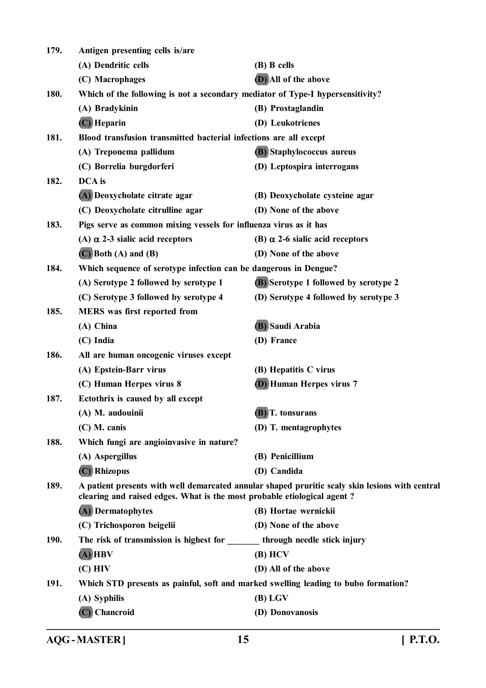| 179.        | Antigen presenting cells is/are                                                                                                                                            |                                                                                |  |  |
|-------------|----------------------------------------------------------------------------------------------------------------------------------------------------------------------------|--------------------------------------------------------------------------------|--|--|
|             | (A) Dendritic cells                                                                                                                                                        | (B) B cells                                                                    |  |  |
|             | (C) Macrophages                                                                                                                                                            | (D) All of the above                                                           |  |  |
| 180.        |                                                                                                                                                                            | Which of the following is not a secondary mediator of Type-I hypersensitivity? |  |  |
|             | (A) Bradykinin                                                                                                                                                             | (B) Prostaglandin                                                              |  |  |
|             | $(C)$ Heparin                                                                                                                                                              | (D) Leukotrienes                                                               |  |  |
| 181.        | Blood transfusion transmitted bacterial infections are all except                                                                                                          |                                                                                |  |  |
|             | (A) Treponema pallidum                                                                                                                                                     | (B) Staphylococcus aureus                                                      |  |  |
|             | (C) Borrelia burgdorferi                                                                                                                                                   | (D) Leptospira interrogans                                                     |  |  |
| 182.        | DCA is                                                                                                                                                                     |                                                                                |  |  |
|             | (A) Deoxycholate citrate agar                                                                                                                                              | (B) Deoxycholate cysteine agar                                                 |  |  |
|             | (C) Deoxycholate citrulline agar                                                                                                                                           | (D) None of the above                                                          |  |  |
| 183.        | Pigs serve as common mixing vessels for influenza virus as it has                                                                                                          |                                                                                |  |  |
|             | (A) $\alpha$ 2-3 sialic acid receptors                                                                                                                                     | (B) $\alpha$ 2-6 sialic acid receptors                                         |  |  |
|             | $(C)$ Both $(A)$ and $(B)$                                                                                                                                                 | (D) None of the above                                                          |  |  |
| 184.        | Which sequence of serotype infection can be dangerous in Dengue?                                                                                                           |                                                                                |  |  |
|             | (A) Serotype 2 followed by serotype 1                                                                                                                                      | <b>(B)</b> Serotype 1 followed by serotype 2                                   |  |  |
|             | (C) Serotype 3 followed by serotype 4                                                                                                                                      | (D) Serotype 4 followed by serotype 3                                          |  |  |
| 185.        | <b>MERS</b> was first reported from                                                                                                                                        |                                                                                |  |  |
|             | (A) China                                                                                                                                                                  | (B) Saudi Arabia                                                               |  |  |
|             | (C) India                                                                                                                                                                  | (D) France                                                                     |  |  |
| 186.        | All are human oncogenic viruses except                                                                                                                                     |                                                                                |  |  |
|             | (A) Epstein-Barr virus                                                                                                                                                     | (B) Hepatitis C virus                                                          |  |  |
|             | (C) Human Herpes virus 8                                                                                                                                                   | <b>(D)</b> Human Herpes virus 7                                                |  |  |
| 187.        | Ectothrix is caused by all except                                                                                                                                          |                                                                                |  |  |
|             | (A) M. audouinii                                                                                                                                                           | (B) T. tonsurans                                                               |  |  |
|             | $(C)$ M. canis                                                                                                                                                             | (D) T. mentagrophytes                                                          |  |  |
| 188.        | Which fungi are angioinvasive in nature?                                                                                                                                   |                                                                                |  |  |
|             | (A) Aspergillus                                                                                                                                                            | (B) Penicillium                                                                |  |  |
|             | (C) Rhizopus                                                                                                                                                               | (D) Candida                                                                    |  |  |
| 189.        | A patient presents with well demarcated annular shaped pruritic scaly skin lesions with central<br>clearing and raised edges. What is the most probable etiological agent? |                                                                                |  |  |
|             | (A) Dermatophytes                                                                                                                                                          | (B) Hortae wernickii                                                           |  |  |
|             | (C) Trichosporon beigelii                                                                                                                                                  | (D) None of the above                                                          |  |  |
| <b>190.</b> | The risk of transmission is highest for through needle stick injury                                                                                                        |                                                                                |  |  |
|             | $(A)$ HBV                                                                                                                                                                  | $(B)$ HCV                                                                      |  |  |
|             | $(C)$ HIV                                                                                                                                                                  | (D) All of the above                                                           |  |  |
| 191.        | Which STD presents as painful, soft and marked swelling leading to bubo formation?                                                                                         |                                                                                |  |  |
|             | (A) Syphilis                                                                                                                                                               | $(B)$ LGV                                                                      |  |  |
|             | (C) Chancroid                                                                                                                                                              | (D) Donovanosis                                                                |  |  |